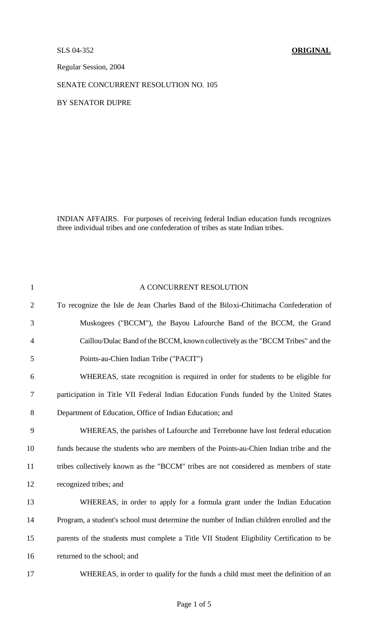Regular Session, 2004

## SENATE CONCURRENT RESOLUTION NO. 105

BY SENATOR DUPRE

INDIAN AFFAIRS. For purposes of receiving federal Indian education funds recognizes three individual tribes and one confederation of tribes as state Indian tribes.

| $\mathbf{1}$   | A CONCURRENT RESOLUTION                                                                   |
|----------------|-------------------------------------------------------------------------------------------|
| $\overline{2}$ | To recognize the Isle de Jean Charles Band of the Biloxi-Chitimacha Confederation of      |
| 3              | Muskogees ("BCCM"), the Bayou Lafourche Band of the BCCM, the Grand                       |
| $\overline{4}$ | Caillou/Dulac Band of the BCCM, known collectively as the "BCCM Tribes" and the           |
| 5              | Points-au-Chien Indian Tribe ("PACIT")                                                    |
| 6              | WHEREAS, state recognition is required in order for students to be eligible for           |
| $\overline{7}$ | participation in Title VII Federal Indian Education Funds funded by the United States     |
| 8              | Department of Education, Office of Indian Education; and                                  |
| 9              | WHEREAS, the parishes of Lafourche and Terrebonne have lost federal education             |
| 10             | funds because the students who are members of the Points-au-Chien Indian tribe and the    |
| 11             | tribes collectively known as the "BCCM" tribes are not considered as members of state     |
| 12             | recognized tribes; and                                                                    |
| 13             | WHEREAS, in order to apply for a formula grant under the Indian Education                 |
| 14             | Program, a student's school must determine the number of Indian children enrolled and the |
| 15             | parents of the students must complete a Title VII Student Eligibility Certification to be |
| 16             | returned to the school; and                                                               |
| 17             | WHEREAS, in order to qualify for the funds a child must meet the definition of an         |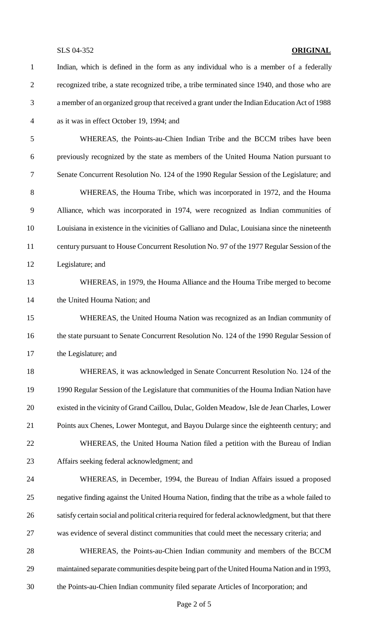Indian, which is defined in the form as any individual who is a member of a federally recognized tribe, a state recognized tribe, a tribe terminated since 1940, and those who are a member of an organized group that received a grant under the IndianEducationAct of 1988 as it was in effect October 19, 1994; and WHEREAS, the Points-au-Chien Indian Tribe and the BCCM tribes have been previously recognized by the state as members of the United Houma Nation pursuant to Senate Concurrent Resolution No. 124 of the 1990 Regular Session of the Legislature; and WHEREAS, the Houma Tribe, which was incorporated in 1972, and the Houma Alliance, which was incorporated in 1974, were recognized as Indian communities of Louisiana in existence in the vicinities of Galliano and Dulac, Louisiana since the nineteenth century pursuant to House Concurrent Resolution No. 97 of the 1977 Regular Session of the Legislature; and WHEREAS, in 1979, the Houma Alliance and the Houma Tribe merged to become the United Houma Nation; and WHEREAS, the United Houma Nation was recognized as an Indian community of 16 the state pursuant to Senate Concurrent Resolution No. 124 of the 1990 Regular Session of the Legislature; and WHEREAS, it was acknowledged in Senate Concurrent Resolution No. 124 of the 1990 Regular Session of the Legislature that communities of the Houma Indian Nation have existed in the vicinity of Grand Caillou, Dulac, Golden Meadow, Isle de Jean Charles, Lower Points aux Chenes, Lower Montegut, and Bayou Dularge since the eighteenth century; and WHEREAS, the United Houma Nation filed a petition with the Bureau of Indian Affairs seeking federal acknowledgment; and WHEREAS, in December, 1994, the Bureau of Indian Affairs issued a proposed negative finding against the United Houma Nation, finding that the tribe as a whole failed to satisfy certain social and political criteria required for federal acknowledgment, but that there was evidence of several distinct communities that could meet the necessary criteria; and WHEREAS, the Points-au-Chien Indian community and members of the BCCM 29 maintained separate communities despite being part of the United Houma Nation and in 1993, the Points-au-Chien Indian community filed separate Articles of Incorporation; and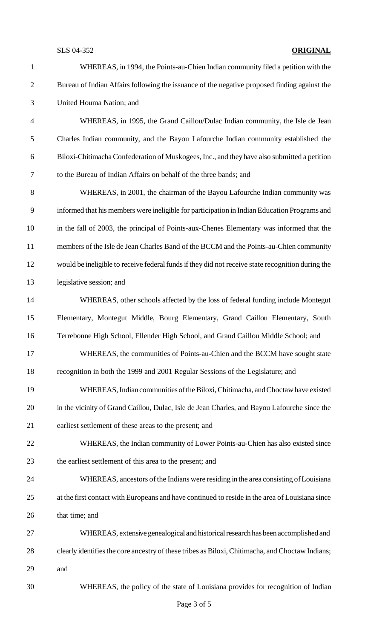WHEREAS, in 1994, the Points-au-Chien Indian community filed a petition with the Bureau of Indian Affairs following the issuance of the negative proposed finding against the United Houma Nation; and WHEREAS, in 1995, the Grand Caillou/Dulac Indian community, the Isle de Jean Charles Indian community, and the Bayou Lafourche Indian community established the Biloxi-Chitimacha Confederation ofMuskogees, Inc., and theyhave also submitted a petition to the Bureau of Indian Affairs on behalf of the three bands; and WHEREAS, in 2001, the chairman of the Bayou Lafourche Indian community was informed that his members were ineligible for participation in Indian Education Programs and in the fall of 2003, the principal of Points-aux-Chenes Elementary was informed that the members of the Isle de Jean Charles Band of the BCCM and the Points-au-Chien community 12 would be ineligible to receive federal funds if they did not receive state recognition during the legislative session; and WHEREAS, other schools affected by the loss of federal funding include Montegut Elementary, Montegut Middle, Bourg Elementary, Grand Caillou Elementary, South Terrebonne High School, Ellender High School, and Grand Caillou Middle School; and WHEREAS, the communities of Points-au-Chien and the BCCM have sought state recognition in both the 1999 and 2001 Regular Sessions of the Legislature; and 19 WHEREAS, Indian communities of the Biloxi, Chitimacha, and Choctaw have existed in the vicinity of Grand Caillou, Dulac, Isle de Jean Charles, and Bayou Lafourche since the earliest settlement of these areas to the present; and WHEREAS, the Indian community of Lower Points-au-Chien has also existed since the earliest settlement of this area to the present; and WHEREAS, ancestors ofthe Indians were residing in the area consisting ofLouisiana at the first contact with Europeans and have continued to reside in the area of Louisiana since that time; and WHEREAS, extensive genealogical and historical research has been accomplished and 28 clearly identifies the core ancestry of these tribes as Biloxi, Chitimacha, and Choctaw Indians; and WHEREAS, the policy of the state of Louisiana provides for recognition of Indian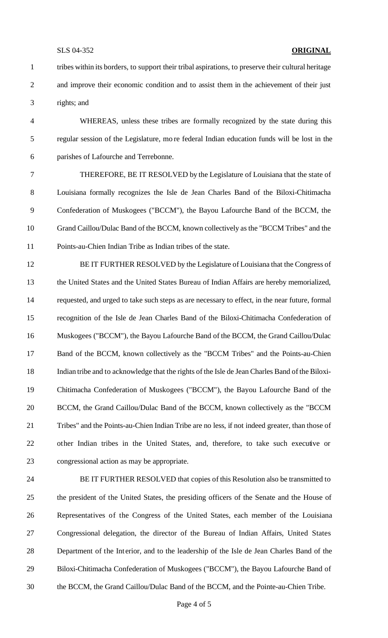tribes within its borders, to support their tribal aspirations, to preserve their cultural heritage and improve their economic condition and to assist them in the achievement of their just rights; and

 WHEREAS, unless these tribes are formally recognized by the state during this regular session of the Legislature, mo re federal Indian education funds will be lost in the parishes of Lafourche and Terrebonne.

 THEREFORE, BE IT RESOLVED by the Legislature of Louisiana that the state of Louisiana formally recognizes the Isle de Jean Charles Band of the Biloxi-Chitimacha Confederation of Muskogees ("BCCM"), the Bayou Lafourche Band of the BCCM, the Grand Caillou/Dulac Band of the BCCM, known collectively as the "BCCM Tribes" and the Points-au-Chien Indian Tribe as Indian tribes of the state.

 BE IT FURTHER RESOLVED by the Legislature of Louisiana that the Congress of the United States and the United States Bureau of Indian Affairs are hereby memorialized, requested, and urged to take such steps as are necessary to effect, in the near future, formal recognition of the Isle de Jean Charles Band of the Biloxi-Chitimacha Confederation of Muskogees ("BCCM"), the Bayou Lafourche Band of the BCCM, the Grand Caillou/Dulac Band of the BCCM, known collectively as the "BCCM Tribes" and the Points-au-Chien Indian tribe and to acknowledge that the rights of the Isle de Jean Charles Band of the Biloxi- Chitimacha Confederation of Muskogees ("BCCM"), the Bayou Lafourche Band of the BCCM, the Grand Caillou/Dulac Band of the BCCM, known collectively as the "BCCM Tribes" and the Points-au-Chien Indian Tribe are no less, if not indeed greater, than those of other Indian tribes in the United States, and, therefore, to take such executive or congressional action as may be appropriate.

 BE IT FURTHER RESOLVED that copies of this Resolution also be transmitted to the president of the United States, the presiding officers of the Senate and the House of Representatives of the Congress of the United States, each member of the Louisiana Congressional delegation, the director of the Bureau of Indian Affairs, United States Department of the Int erior, and to the leadership of the Isle de Jean Charles Band of the Biloxi-Chitimacha Confederation of Muskogees ("BCCM"), the Bayou Lafourche Band of the BCCM, the Grand Caillou/Dulac Band of the BCCM, and the Pointe-au-Chien Tribe.